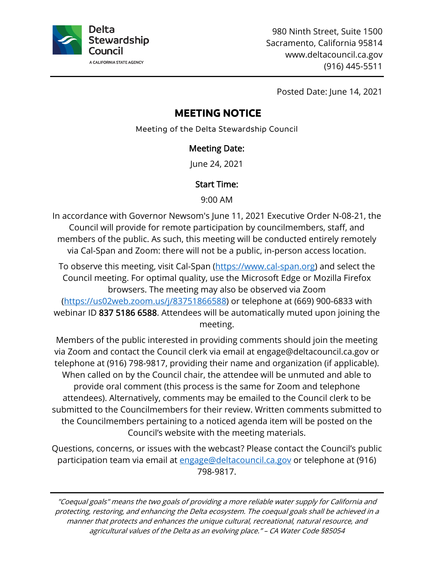

980 Ninth Street, Suite 1500 Sacramento, California 95814 <www.deltacouncil.ca.gov> (916) 445-5511

Posted Date: June 14, 2021

# **MEETING NOTICE**

Meeting of the Delta Stewardship Council

#### Meeting Date:

June 24, 2021

# Start Time:

9:00 AM

 members of the public. As such, this meeting will be conducted entirely remotely In accordance with Governor Newsom's June 11, 2021 Executive Order N-08-21, the Council will provide for remote participation by councilmembers, staff, and via Cal-Span and Zoom: there will not be a public, in-person access location.

To observe this meeting, visit Cal-Span (<u><https://www.cal-span.org></u>) and select the Council meeting. For optimal quality, use the Microsoft Edge or Mozilla Fir efox browsers. The meeting may also be observed via Zoom [\(https://us02web.zoom.us/j/83751866588](https://us02web.zoom.us/j/83751866588)) or telephone at (669) 900-6833 with webinar ID 837 5186 6588. Attendees will be automatically muted upon joini ng the meeting.

 Members of the public interested in providing comments should join the meeting attendees). Alternatively, comments may be emailed to the Council clerk to be submitted to the Councilmembers for their review. Written comments submitted to the Councilmembers pertaining to a noticed agenda item will be posted on the via Zoom and contact the Council clerk via email at [engage@deltacouncil.ca.gov](mailto:engage@deltacouncil.ca.gov) or telephone at (916) 798-9817, providing their name and organization (if applicable). When called on by the Council chair, the attendee will be unmuted and able to provide oral comment (this process is the same for Zoom and telephone Council's website with the meeting materials.

Questions, concerns, or issues with the webcast? Please contact the Council's public participation team via email at <u>engage@deltacouncil.ca.gov</u> or telephone at (916) 798-9817.

 "Coequal goals" means the two goals of providing a more reliable water supply for California and protecting, restoring, and enhancing the Delta ecosystem. The coequal goals shall be achieved in a manner that protects and enhances the unique cultural, recreational, natural resource, and agricultural values of the Delta as an evolving place." – CA Water Code §85054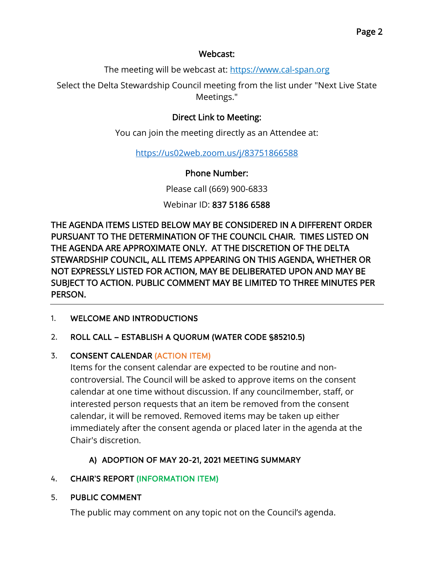#### Webcast:

The meeting will be webcast at: <https://www.cal-span.org>

Select the Delta Stewardship Council meeting from the list under "Next Live State Meetings."

# Direct Link to Meeting:

You can join the meeting directly as an Attendee at:

<https://us02web.zoom.us/j/83751866588>

Phone Number:

Please call (669) 900-6833

Webinar ID: 837 5186 6588

THE AGENDA ITEMS LISTED BELOW MAY BE CONSIDERED IN A DIFFERENT ORDER PURSUANT TO THE DETERMINATION OF THE COUNCIL CHAIR. TIMES LISTED ON THE AGENDA ARE APPROXIMATE ONLY. AT THE DISCRETION OF THE DELTA STEWARDSHIP COUNCIL, ALL ITEMS APPEARING ON THIS AGENDA, WHETHER OR NOT EXPRESSLY LISTED FOR ACTION, MAY BE DELIBERATED UPON AND MAY BE SUBJECT TO ACTION. PUBLIC COMMENT MAY BE LIMITED TO THREE MINUTES PER PERSON.

1. WELCOME AND INTRODUCTIONS

#### 2. ROLL CALL – ESTABLISH A QUORUM (WATER CODE §85210.5)

#### 3. CONSENT CALENDAR (ACTION ITEM)

 calendar, it will be removed. Removed items may be taken up either Items for the consent calendar are expected to be routine and noncontroversial. The Council will be asked to approve items on the consent calendar at one time without discussion. If any councilmember, staff, or interested person requests that an item be removed from the consent immediately after the consent agenda or placed later in the agenda at the Chair's discretion.

# A) ADOPTION OF MAY 20-21, 2021 MEETING SUMMARY

#### 4. CHAIR'S REPORT (INFORMATION ITEM)

#### 5. PUBLIC COMMENT

The public may comment on any topic not on the Council's agenda.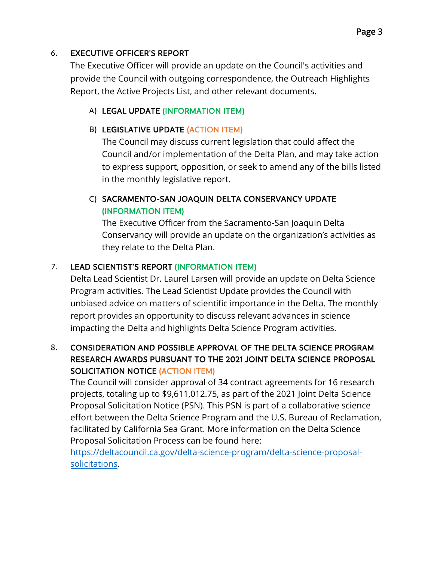### 6. EXECUTIVE OFFICER'S REPORT

The Executive Officer will provide an update on the Council's activities and provide the Council with outgoing correspondence, the Outreach Highlights Report, the Active Projects List, and other relevant documents.

# A) LEGAL UPDATE (INFORMATION ITEM)

# B) LEGISLATIVE UPDATE (ACTION ITEM)

 to express support, opposition, or seek to amend any of the bills listed The Council may discuss current legislation that could affect the Council and/or implementation of the Delta Plan, and may take action in the monthly legislative report.

# C) SACRAMENTO-SAN JOAQUIN DELTA CONSERVANCY UPDATE (INFORMATION ITEM)

The Executive Officer from the Sacramento-San Joaquin Delta Conservancy will provide an update on the organization's activities as they relate to the Delta Plan.

# 7. LEAD SCIENTIST'S REPORT (INFORMATION ITEM)

 impacting the Delta and highlights Delta Science Program activities.Delta Lead Scientist Dr. Laurel Larsen will provide an update on Delta Science Program activities. The Lead Scientist Update provides the Council with unbiased advice on matters of scientific importance in the Delta. The monthly report provides an opportunity to discuss relevant advances in science

# SOLICITATION NOTICE (ACTION ITEM) 8. CONSIDERATION AND POSSIBLE APPROVAL OF THE DELTA SCIENCE PROGRAM RESEARCH AWARDS PURSUANT TO THE 2021 JOINT DELTA SCIENCE PROPOSAL

 facilitated by California Sea Grant. More information on the Delta Science The Council will consider approval of 34 contract agreements for 16 research projects, totaling up to \$[9,611,012.75](https://9,611,012.75), as part of the 2021 Joint Delta Science Proposal Solicitation Notice (PSN). This PSN is part of a collaborative science effort between the Delta Science Program and the U.S. Bureau of Reclamation, Proposal Solicitation Process can be found here:

[https://deltacouncil.ca.gov/delta-science-program/delta-science-proposal](https://deltacouncil.ca.gov/delta-science-program/delta-science-proposal-solicitations)solicitations.